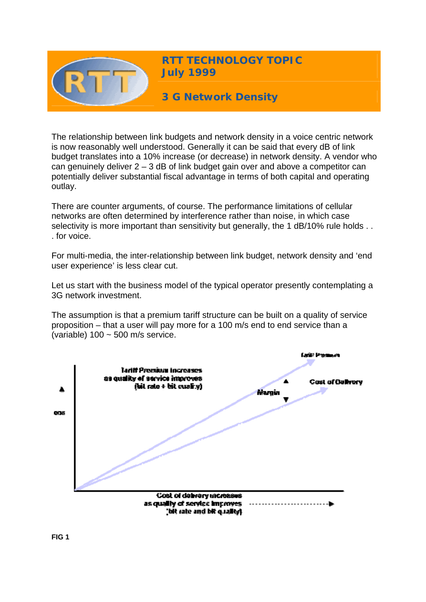

**RTT TECHNOLOGY TOPIC July 1999** 

**3 G Network Density** 

The relationship between link budgets and network density in a voice centric network is now reasonably well understood. Generally it can be said that every dB of link budget translates into a 10% increase (or decrease) in network density. A vendor who can genuinely deliver  $2 - 3$  dB of link budget gain over and above a competitor can potentially deliver substantial fiscal advantage in terms of both capital and operating outlay.

There are counter arguments, of course. The performance limitations of cellular networks are often determined by interference rather than noise, in which case selectivity is more important than sensitivity but generally, the 1 dB/10% rule holds . . . for voice.

For multi-media, the inter-relationship between link budget, network density and 'end user experience' is less clear cut.

Let us start with the business model of the typical operator presently contemplating a 3G network investment.

The assumption is that a premium tariff structure can be built on a quality of service proposition – that a user will pay more for a 100 m/s end to end service than a (variable) 100 ~ 500 m/s service.

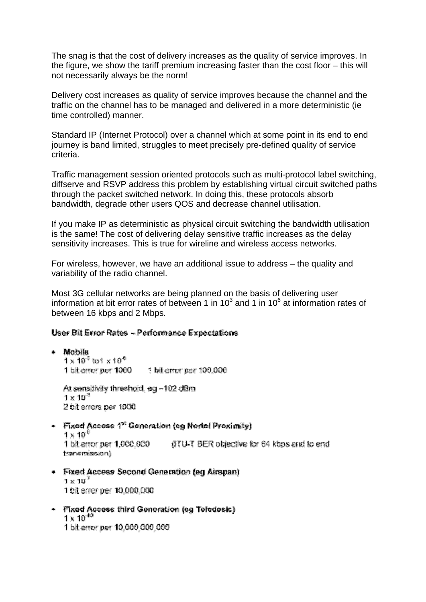The snag is that the cost of delivery increases as the quality of service improves. In the figure, we show the tariff premium increasing faster than the cost floor – this will not necessarily always be the norm!

Delivery cost increases as quality of service improves because the channel and the traffic on the channel has to be managed and delivered in a more deterministic (ie time controlled) manner.

Standard IP (Internet Protocol) over a channel which at some point in its end to end journey is band limited, struggles to meet precisely pre-defined quality of service criteria.

Traffic management session oriented protocols such as multi-protocol label switching, diffserve and RSVP address this problem by establishing virtual circuit switched paths through the packet switched network. In doing this, these protocols absorb bandwidth, degrade other users QOS and decrease channel utilisation.

If you make IP as deterministic as physical circuit switching the bandwidth utilisation is the same! The cost of delivering delay sensitive traffic increases as the delay sensitivity increases. This is true for wireline and wireless access networks.

For wireless, however, we have an additional issue to address – the quality and variability of the radio channel.

Most 3G cellular networks are being planned on the basis of delivering user information at bit error rates of between 1 in 10 $3$  and 1 in 10 $6$  at information rates of between 16 kbps and 2 Mbps.

## User Bit Error Rates - Performance Expectations

• Mobile  $1 \times 10^{-3}$  to  $1 \times 10^{-6}$ At sensitivity threshold, eq -102 dBm

 $1 \times 10^{21}$ 2 bit errors per 1000

- $\sim$  Fixed Access 1<sup>st</sup> Generation (eg Nortel Proximity)  $1 \times 10^{-6}$ (ITU-T BER objective for 64 kbps and to end 1 bit error per 1.000.000 fransmission)
- Fixed Access Second Generation (eq Airspan)  $1 \times 10^{7}$ 1 bit errer per 10.000.000
- Fixed Access third Generation (eg Tefedesic)  $1 \times 10^{-10}$ 1 bit error per 10,000,000,000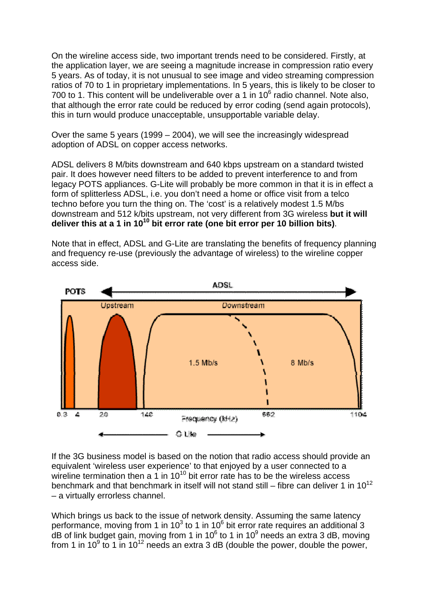On the wireline access side, two important trends need to be considered. Firstly, at the application layer, we are seeing a magnitude increase in compression ratio every 5 years. As of today, it is not unusual to see image and video streaming compression ratios of 70 to 1 in proprietary implementations. In 5 years, this is likely to be closer to 700 to 1. This content will be undeliverable over a 1 in  $10^6$  radio channel. Note also, that although the error rate could be reduced by error coding (send again protocols), this in turn would produce unacceptable, unsupportable variable delay.

Over the same 5 years (1999 – 2004), we will see the increasingly widespread adoption of ADSL on copper access networks.

ADSL delivers 8 M/bits downstream and 640 kbps upstream on a standard twisted pair. It does however need filters to be added to prevent interference to and from legacy POTS appliances. G-Lite will probably be more common in that it is in effect a form of splitterless ADSL, i.e. you don't need a home or office visit from a telco techno before you turn the thing on. The 'cost' is a relatively modest 1.5 M/bs downstream and 512 k/bits upstream, not very different from 3G wireless **but it will deliver this at a 1 in 1010 bit error rate (one bit error per 10 billion bits)**.

Note that in effect, ADSL and G-Lite are translating the benefits of frequency planning and frequency re-use (previously the advantage of wireless) to the wireline copper access side.



If the 3G business model is based on the notion that radio access should provide an equivalent 'wireless user experience' to that enjoyed by a user connected to a wireline termination then a 1 in 10<sup>10</sup> bit error rate has to be the wireless access benchmark and that benchmark in itself will not stand still – fibre can deliver 1 in  $10^{12}$ – a virtually errorless channel.

Which brings us back to the issue of network density. Assuming the same latency performance, moving from 1 in 10 $3$  to 1 in 10 $6$  bit error rate requires an additional 3 dB of link budget gain, moving from 1 in 10 $^6$  to 1 in 10 $^9$  needs an extra 3 dB, moving from 1 in 10 $9$  to 1 in 10<sup>12</sup> needs an extra 3 dB (double the power, double the power,